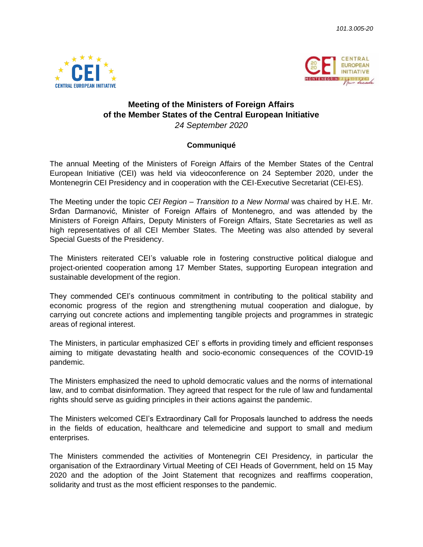



## **Meeting of the Ministers of Foreign Affairs of the Member States of the Central European Initiative** *24 September 2020*

## **Communiqué**

The annual Meeting of the Ministers of Foreign Affairs of the Member States of the Central European Initiative (CEI) was held via videoconference on 24 September 2020, under the Montenegrin CEI Presidency and in cooperation with the CEI-Executive Secretariat (CEI-ES).

The Meeting under the topic *CEI Region – Transition to a New Normal* was chaired by H.E. Mr. Srđan Darmanović, Minister of Foreign Affairs of Montenegro, and was attended by the Ministers of Foreign Affairs, Deputy Ministers of Foreign Affairs, State Secretaries as well as high representatives of all CEI Member States. The Meeting was also attended by several Special Guests of the Presidency.

The Ministers reiterated CEI's valuable role in fostering constructive political dialogue and project-oriented cooperation among 17 Member States, supporting European integration and sustainable development of the region.

They commended CEI's continuous commitment in contributing to the political stability and economic progress of the region and strengthening mutual cooperation and dialogue, by carrying out concrete actions and implementing tangible projects and programmes in strategic areas of regional interest.

The Ministers, in particular emphasized CEI' s efforts in providing timely and efficient responses aiming to mitigate devastating health and socio-economic consequences of the COVID-19 pandemic.

The Ministers emphasized the need to uphold democratic values and the norms of international law, and to combat disinformation. They agreed that respect for the rule of law and fundamental rights should serve as guiding principles in their actions against the pandemic.

The Ministers welcomed CEI's Extraordinary Call for Proposals launched to address the needs in the fields of education, healthcare and telemedicine and support to small and medium enterprises.

The Ministers commended the activities of Montenegrin CEI Presidency, in particular the organisation of the Extraordinary Virtual Meeting of CEI Heads of Government, held on 15 May 2020 and the adoption of the Joint Statement that recognizes and reaffirms cooperation, solidarity and trust as the most efficient responses to the pandemic.